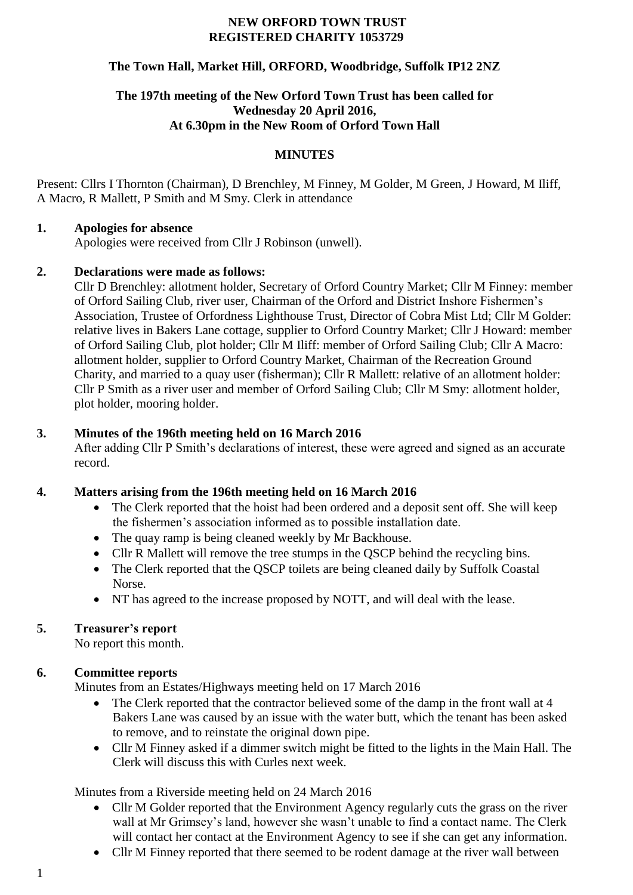#### **NEW ORFORD TOWN TRUST REGISTERED CHARITY 1053729**

#### **The Town Hall, Market Hill, ORFORD, Woodbridge, Suffolk IP12 2NZ**

### **The 197th meeting of the New Orford Town Trust has been called for Wednesday 20 April 2016, At 6.30pm in the New Room of Orford Town Hall**

#### **MINUTES**

Present: Cllrs I Thornton (Chairman), D Brenchley, M Finney, M Golder, M Green, J Howard, M Iliff, A Macro, R Mallett, P Smith and M Smy. Clerk in attendance

#### **1. Apologies for absence**

Apologies were received from Cllr J Robinson (unwell).

#### **2. Declarations were made as follows:**

Cllr D Brenchley: allotment holder, Secretary of Orford Country Market; Cllr M Finney: member of Orford Sailing Club, river user, Chairman of the Orford and District Inshore Fishermen's Association, Trustee of Orfordness Lighthouse Trust, Director of Cobra Mist Ltd; Cllr M Golder: relative lives in Bakers Lane cottage, supplier to Orford Country Market; Cllr J Howard: member of Orford Sailing Club, plot holder; Cllr M Iliff: member of Orford Sailing Club; Cllr A Macro: allotment holder, supplier to Orford Country Market, Chairman of the Recreation Ground Charity, and married to a quay user (fisherman); Cllr R Mallett: relative of an allotment holder: Cllr P Smith as a river user and member of Orford Sailing Club; Cllr M Smy: allotment holder, plot holder, mooring holder.

### **3. Minutes of the 196th meeting held on 16 March 2016**

After adding Cllr P Smith's declarations of interest, these were agreed and signed as an accurate record.

### **4. Matters arising from the 196th meeting held on 16 March 2016**

- The Clerk reported that the hoist had been ordered and a deposit sent off. She will keep the fishermen's association informed as to possible installation date.
- The quay ramp is being cleaned weekly by Mr Backhouse.
- Cllr R Mallett will remove the tree stumps in the QSCP behind the recycling bins.
- The Clerk reported that the OSCP toilets are being cleaned daily by Suffolk Coastal Norse.
- NT has agreed to the increase proposed by NOTT, and will deal with the lease.

### **5. Treasurer's report**

No report this month.

### **6. Committee reports**

Minutes from an Estates/Highways meeting held on 17 March 2016

- The Clerk reported that the contractor believed some of the damp in the front wall at 4 Bakers Lane was caused by an issue with the water butt, which the tenant has been asked to remove, and to reinstate the original down pipe.
- Cllr M Finney asked if a dimmer switch might be fitted to the lights in the Main Hall. The Clerk will discuss this with Curles next week.

Minutes from a Riverside meeting held on 24 March 2016

- Cllr M Golder reported that the Environment Agency regularly cuts the grass on the river wall at Mr Grimsey's land, however she wasn't unable to find a contact name. The Clerk will contact her contact at the Environment Agency to see if she can get any information.
- Cllr M Finney reported that there seemed to be rodent damage at the river wall between